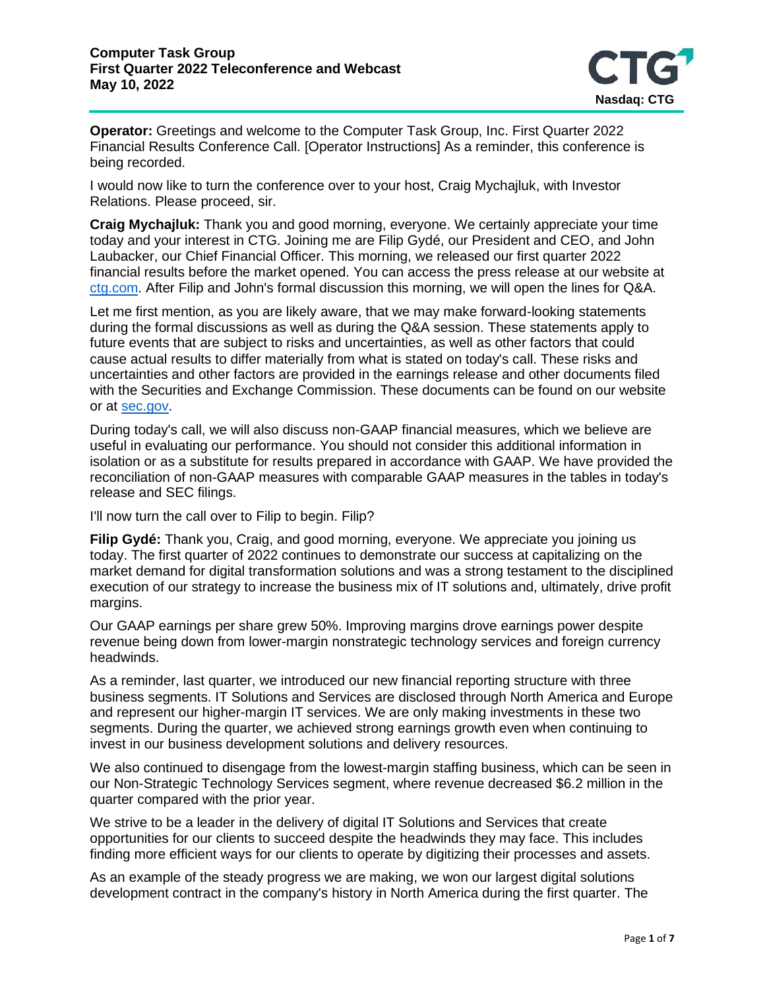

**Operator:** Greetings and welcome to the Computer Task Group, Inc. First Quarter 2022 Financial Results Conference Call. [Operator Instructions] As a reminder, this conference is being recorded.

I would now like to turn the conference over to your host, Craig Mychajluk, with Investor Relations. Please proceed, sir.

**Craig Mychajluk:** Thank you and good morning, everyone. We certainly appreciate your time today and your interest in CTG. Joining me are Filip Gydé, our President and CEO, and John Laubacker, our Chief Financial Officer. This morning, we released our first quarter 2022 financial results before the market opened. You can access the press release at our website at [ctg.com.](https://www.ctg.com/) After Filip and John's formal discussion this morning, we will open the lines for Q&A.

Let me first mention, as you are likely aware, that we may make forward-looking statements during the formal discussions as well as during the Q&A session. These statements apply to future events that are subject to risks and uncertainties, as well as other factors that could cause actual results to differ materially from what is stated on today's call. These risks and uncertainties and other factors are provided in the earnings release and other documents filed with the Securities and Exchange Commission. These documents can be found on our website or at [sec.gov.](https://www.sec.gov/)

During today's call, we will also discuss non-GAAP financial measures, which we believe are useful in evaluating our performance. You should not consider this additional information in isolation or as a substitute for results prepared in accordance with GAAP. We have provided the reconciliation of non-GAAP measures with comparable GAAP measures in the tables in today's release and SEC filings.

I'll now turn the call over to Filip to begin. Filip?

**Filip Gydé:** Thank you, Craig, and good morning, everyone. We appreciate you joining us today. The first quarter of 2022 continues to demonstrate our success at capitalizing on the market demand for digital transformation solutions and was a strong testament to the disciplined execution of our strategy to increase the business mix of IT solutions and, ultimately, drive profit margins.

Our GAAP earnings per share grew 50%. Improving margins drove earnings power despite revenue being down from lower-margin nonstrategic technology services and foreign currency headwinds.

As a reminder, last quarter, we introduced our new financial reporting structure with three business segments. IT Solutions and Services are disclosed through North America and Europe and represent our higher-margin IT services. We are only making investments in these two segments. During the quarter, we achieved strong earnings growth even when continuing to invest in our business development solutions and delivery resources.

We also continued to disengage from the lowest-margin staffing business, which can be seen in our Non-Strategic Technology Services segment, where revenue decreased \$6.2 million in the quarter compared with the prior year.

We strive to be a leader in the delivery of digital IT Solutions and Services that create opportunities for our clients to succeed despite the headwinds they may face. This includes finding more efficient ways for our clients to operate by digitizing their processes and assets.

As an example of the steady progress we are making, we won our largest digital solutions development contract in the company's history in North America during the first quarter. The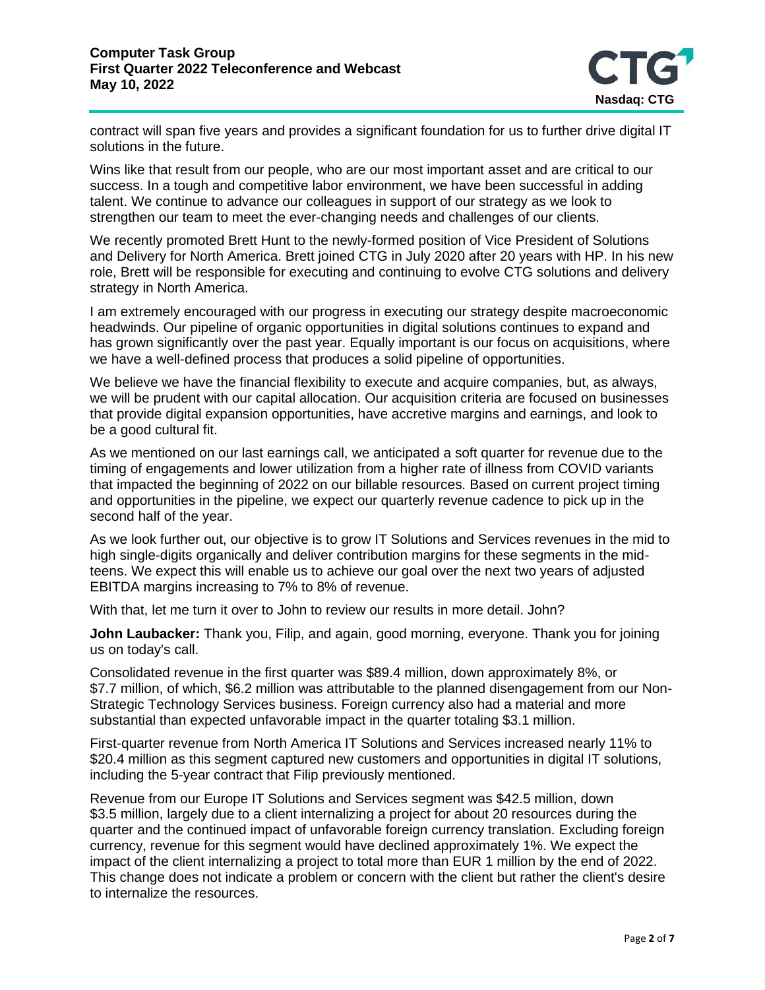

contract will span five years and provides a significant foundation for us to further drive digital IT solutions in the future.

Wins like that result from our people, who are our most important asset and are critical to our success. In a tough and competitive labor environment, we have been successful in adding talent. We continue to advance our colleagues in support of our strategy as we look to strengthen our team to meet the ever-changing needs and challenges of our clients.

We recently promoted Brett Hunt to the newly-formed position of Vice President of Solutions and Delivery for North America. Brett joined CTG in July 2020 after 20 years with HP. In his new role, Brett will be responsible for executing and continuing to evolve CTG solutions and delivery strategy in North America.

I am extremely encouraged with our progress in executing our strategy despite macroeconomic headwinds. Our pipeline of organic opportunities in digital solutions continues to expand and has grown significantly over the past year. Equally important is our focus on acquisitions, where we have a well-defined process that produces a solid pipeline of opportunities.

We believe we have the financial flexibility to execute and acquire companies, but, as always, we will be prudent with our capital allocation. Our acquisition criteria are focused on businesses that provide digital expansion opportunities, have accretive margins and earnings, and look to be a good cultural fit.

As we mentioned on our last earnings call, we anticipated a soft quarter for revenue due to the timing of engagements and lower utilization from a higher rate of illness from COVID variants that impacted the beginning of 2022 on our billable resources. Based on current project timing and opportunities in the pipeline, we expect our quarterly revenue cadence to pick up in the second half of the year.

As we look further out, our objective is to grow IT Solutions and Services revenues in the mid to high single-digits organically and deliver contribution margins for these segments in the midteens. We expect this will enable us to achieve our goal over the next two years of adjusted EBITDA margins increasing to 7% to 8% of revenue.

With that, let me turn it over to John to review our results in more detail. John?

**John Laubacker:** Thank you, Filip, and again, good morning, everyone. Thank you for joining us on today's call.

Consolidated revenue in the first quarter was \$89.4 million, down approximately 8%, or \$7.7 million, of which, \$6.2 million was attributable to the planned disengagement from our Non-Strategic Technology Services business. Foreign currency also had a material and more substantial than expected unfavorable impact in the quarter totaling \$3.1 million.

First-quarter revenue from North America IT Solutions and Services increased nearly 11% to \$20.4 million as this segment captured new customers and opportunities in digital IT solutions, including the 5-year contract that Filip previously mentioned.

Revenue from our Europe IT Solutions and Services segment was \$42.5 million, down \$3.5 million, largely due to a client internalizing a project for about 20 resources during the quarter and the continued impact of unfavorable foreign currency translation. Excluding foreign currency, revenue for this segment would have declined approximately 1%. We expect the impact of the client internalizing a project to total more than EUR 1 million by the end of 2022. This change does not indicate a problem or concern with the client but rather the client's desire to internalize the resources.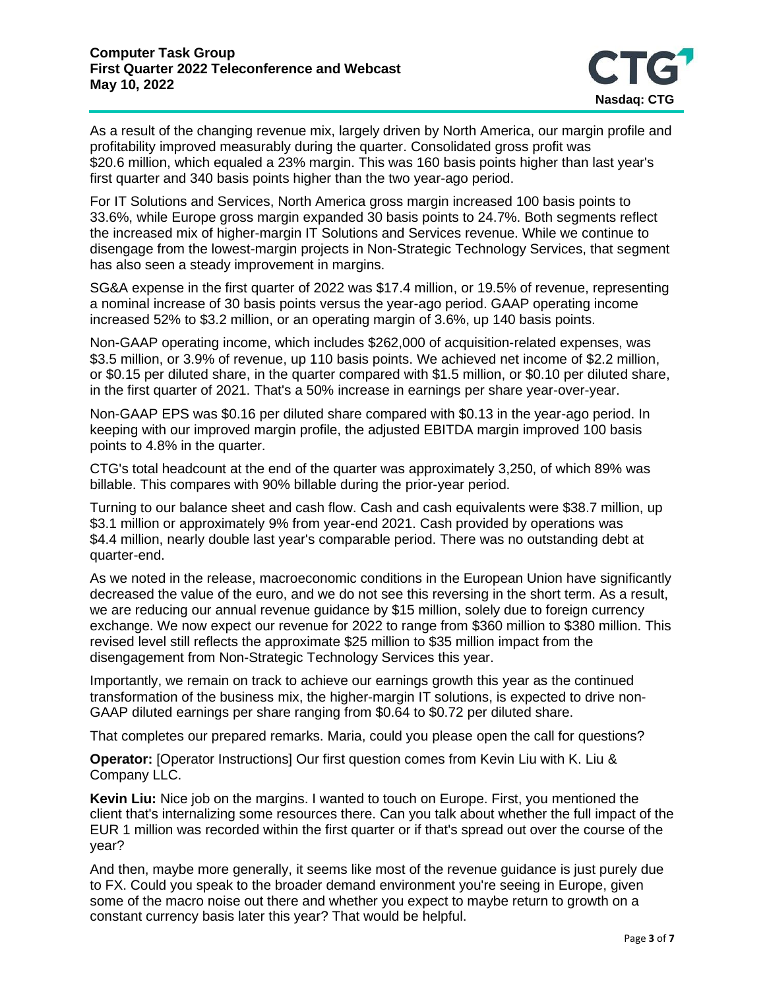

As a result of the changing revenue mix, largely driven by North America, our margin profile and profitability improved measurably during the quarter. Consolidated gross profit was \$20.6 million, which equaled a 23% margin. This was 160 basis points higher than last year's first quarter and 340 basis points higher than the two year-ago period.

For IT Solutions and Services, North America gross margin increased 100 basis points to 33.6%, while Europe gross margin expanded 30 basis points to 24.7%. Both segments reflect the increased mix of higher-margin IT Solutions and Services revenue. While we continue to disengage from the lowest-margin projects in Non-Strategic Technology Services, that segment has also seen a steady improvement in margins.

SG&A expense in the first quarter of 2022 was \$17.4 million, or 19.5% of revenue, representing a nominal increase of 30 basis points versus the year-ago period. GAAP operating income increased 52% to \$3.2 million, or an operating margin of 3.6%, up 140 basis points.

Non-GAAP operating income, which includes \$262,000 of acquisition-related expenses, was \$3.5 million, or 3.9% of revenue, up 110 basis points. We achieved net income of \$2.2 million, or \$0.15 per diluted share, in the quarter compared with \$1.5 million, or \$0.10 per diluted share, in the first quarter of 2021. That's a 50% increase in earnings per share year-over-year.

Non-GAAP EPS was \$0.16 per diluted share compared with \$0.13 in the year-ago period. In keeping with our improved margin profile, the adjusted EBITDA margin improved 100 basis points to 4.8% in the quarter.

CTG's total headcount at the end of the quarter was approximately 3,250, of which 89% was billable. This compares with 90% billable during the prior-year period.

Turning to our balance sheet and cash flow. Cash and cash equivalents were \$38.7 million, up \$3.1 million or approximately 9% from year-end 2021. Cash provided by operations was \$4.4 million, nearly double last year's comparable period. There was no outstanding debt at quarter-end.

As we noted in the release, macroeconomic conditions in the European Union have significantly decreased the value of the euro, and we do not see this reversing in the short term. As a result, we are reducing our annual revenue guidance by \$15 million, solely due to foreign currency exchange. We now expect our revenue for 2022 to range from \$360 million to \$380 million. This revised level still reflects the approximate \$25 million to \$35 million impact from the disengagement from Non-Strategic Technology Services this year.

Importantly, we remain on track to achieve our earnings growth this year as the continued transformation of the business mix, the higher-margin IT solutions, is expected to drive non-GAAP diluted earnings per share ranging from \$0.64 to \$0.72 per diluted share.

That completes our prepared remarks. Maria, could you please open the call for questions?

**Operator:** [Operator Instructions] Our first question comes from Kevin Liu with K. Liu & Company LLC.

**Kevin Liu:** Nice job on the margins. I wanted to touch on Europe. First, you mentioned the client that's internalizing some resources there. Can you talk about whether the full impact of the EUR 1 million was recorded within the first quarter or if that's spread out over the course of the year?

And then, maybe more generally, it seems like most of the revenue guidance is just purely due to FX. Could you speak to the broader demand environment you're seeing in Europe, given some of the macro noise out there and whether you expect to maybe return to growth on a constant currency basis later this year? That would be helpful.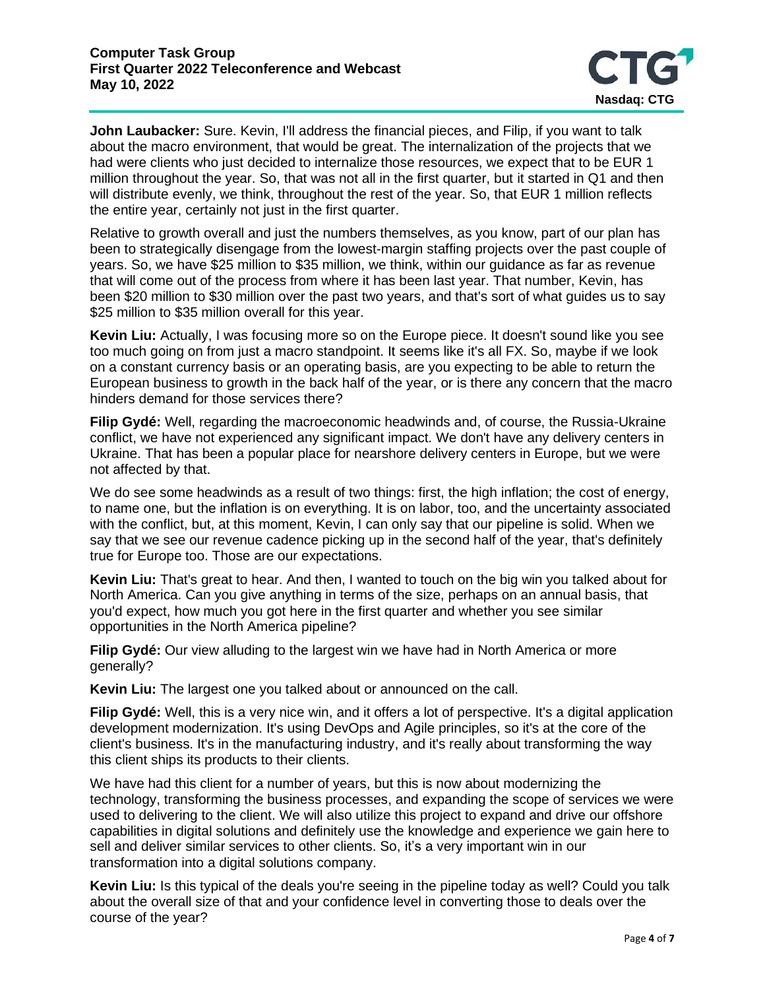

John Laubacker: Sure. Kevin, I'll address the financial pieces, and Filip, if you want to talk about the macro environment, that would be great. The internalization of the projects that we had were clients who just decided to internalize those resources, we expect that to be EUR 1 million throughout the year. So, that was not all in the first quarter, but it started in Q1 and then will distribute evenly, we think, throughout the rest of the year. So, that EUR 1 million reflects the entire year, certainly not just in the first quarter.

Relative to growth overall and just the numbers themselves, as you know, part of our plan has been to strategically disengage from the lowest-margin staffing projects over the past couple of years. So, we have \$25 million to \$35 million, we think, within our guidance as far as revenue that will come out of the process from where it has been last year. That number, Kevin, has been \$20 million to \$30 million over the past two years, and that's sort of what guides us to say \$25 million to \$35 million overall for this year.

**Kevin Liu:** Actually, I was focusing more so on the Europe piece. It doesn't sound like you see too much going on from just a macro standpoint. It seems like it's all FX. So, maybe if we look on a constant currency basis or an operating basis, are you expecting to be able to return the European business to growth in the back half of the year, or is there any concern that the macro hinders demand for those services there?

**Filip Gydé:** Well, regarding the macroeconomic headwinds and, of course, the Russia-Ukraine conflict, we have not experienced any significant impact. We don't have any delivery centers in Ukraine. That has been a popular place for nearshore delivery centers in Europe, but we were not affected by that.

We do see some headwinds as a result of two things: first, the high inflation; the cost of energy, to name one, but the inflation is on everything. It is on labor, too, and the uncertainty associated with the conflict, but, at this moment, Kevin, I can only say that our pipeline is solid. When we say that we see our revenue cadence picking up in the second half of the year, that's definitely true for Europe too. Those are our expectations.

**Kevin Liu:** That's great to hear. And then, I wanted to touch on the big win you talked about for North America. Can you give anything in terms of the size, perhaps on an annual basis, that you'd expect, how much you got here in the first quarter and whether you see similar opportunities in the North America pipeline?

**Filip Gydé:** Our view alluding to the largest win we have had in North America or more generally?

**Kevin Liu:** The largest one you talked about or announced on the call.

**Filip Gydé:** Well, this is a very nice win, and it offers a lot of perspective. It's a digital application development modernization. It's using DevOps and Agile principles, so it's at the core of the client's business. It's in the manufacturing industry, and it's really about transforming the way this client ships its products to their clients.

We have had this client for a number of years, but this is now about modernizing the technology, transforming the business processes, and expanding the scope of services we were used to delivering to the client. We will also utilize this project to expand and drive our offshore capabilities in digital solutions and definitely use the knowledge and experience we gain here to sell and deliver similar services to other clients. So, it's a very important win in our transformation into a digital solutions company.

**Kevin Liu:** Is this typical of the deals you're seeing in the pipeline today as well? Could you talk about the overall size of that and your confidence level in converting those to deals over the course of the year?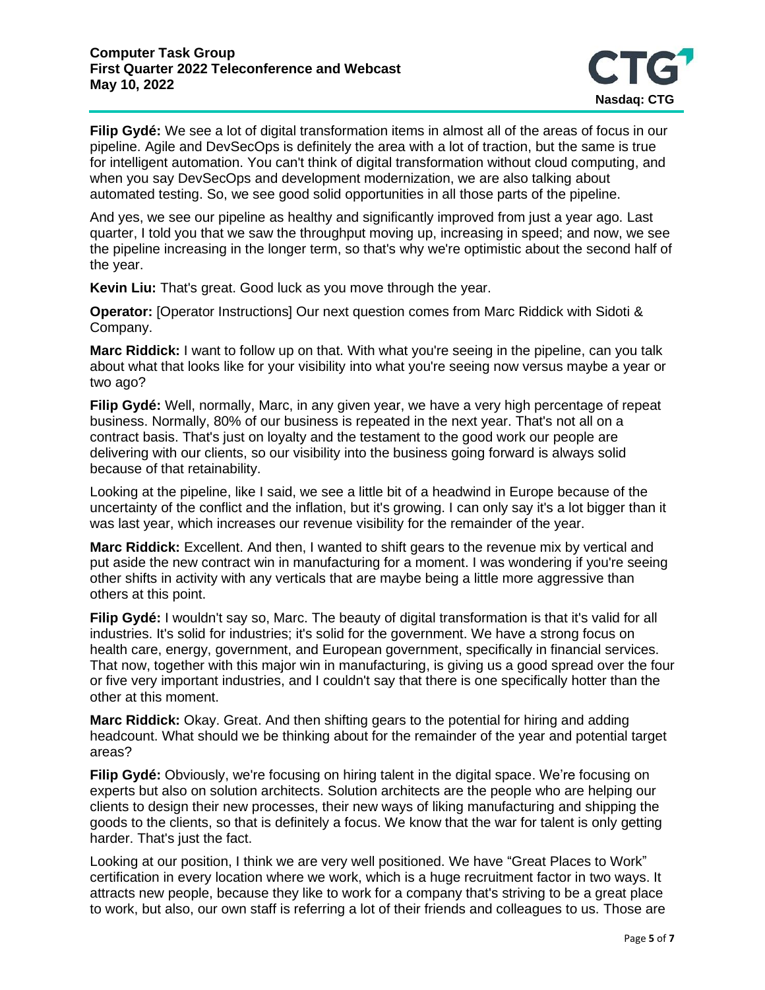

**Filip Gydé:** We see a lot of digital transformation items in almost all of the areas of focus in our pipeline. Agile and DevSecOps is definitely the area with a lot of traction, but the same is true for intelligent automation. You can't think of digital transformation without cloud computing, and when you say DevSecOps and development modernization, we are also talking about automated testing. So, we see good solid opportunities in all those parts of the pipeline.

And yes, we see our pipeline as healthy and significantly improved from just a year ago. Last quarter, I told you that we saw the throughput moving up, increasing in speed; and now, we see the pipeline increasing in the longer term, so that's why we're optimistic about the second half of the year.

**Kevin Liu:** That's great. Good luck as you move through the year.

**Operator:** [Operator Instructions] Our next question comes from Marc Riddick with Sidoti & Company.

**Marc Riddick:** I want to follow up on that. With what you're seeing in the pipeline, can you talk about what that looks like for your visibility into what you're seeing now versus maybe a year or two ago?

**Filip Gydé:** Well, normally, Marc, in any given year, we have a very high percentage of repeat business. Normally, 80% of our business is repeated in the next year. That's not all on a contract basis. That's just on loyalty and the testament to the good work our people are delivering with our clients, so our visibility into the business going forward is always solid because of that retainability.

Looking at the pipeline, like I said, we see a little bit of a headwind in Europe because of the uncertainty of the conflict and the inflation, but it's growing. I can only say it's a lot bigger than it was last year, which increases our revenue visibility for the remainder of the year.

**Marc Riddick:** Excellent. And then, I wanted to shift gears to the revenue mix by vertical and put aside the new contract win in manufacturing for a moment. I was wondering if you're seeing other shifts in activity with any verticals that are maybe being a little more aggressive than others at this point.

**Filip Gydé:** I wouldn't say so, Marc. The beauty of digital transformation is that it's valid for all industries. It's solid for industries; it's solid for the government. We have a strong focus on health care, energy, government, and European government, specifically in financial services. That now, together with this major win in manufacturing, is giving us a good spread over the four or five very important industries, and I couldn't say that there is one specifically hotter than the other at this moment.

**Marc Riddick:** Okay. Great. And then shifting gears to the potential for hiring and adding headcount. What should we be thinking about for the remainder of the year and potential target areas?

**Filip Gydé:** Obviously, we're focusing on hiring talent in the digital space. We're focusing on experts but also on solution architects. Solution architects are the people who are helping our clients to design their new processes, their new ways of liking manufacturing and shipping the goods to the clients, so that is definitely a focus. We know that the war for talent is only getting harder. That's just the fact.

Looking at our position, I think we are very well positioned. We have "Great Places to Work" certification in every location where we work, which is a huge recruitment factor in two ways. It attracts new people, because they like to work for a company that's striving to be a great place to work, but also, our own staff is referring a lot of their friends and colleagues to us. Those are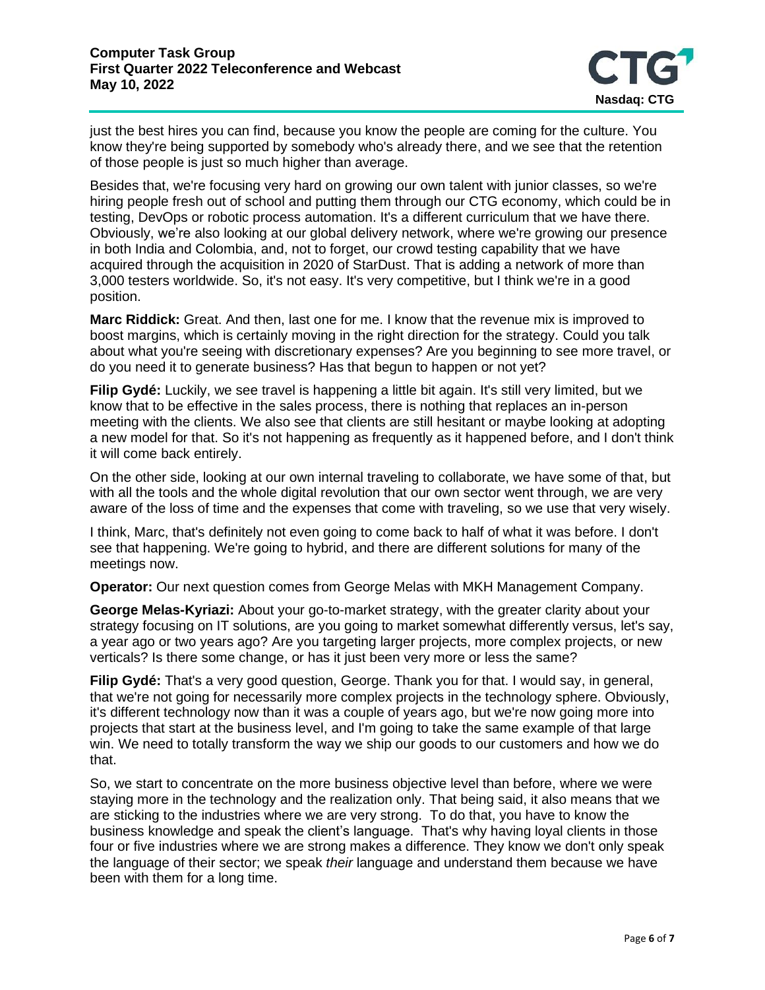

just the best hires you can find, because you know the people are coming for the culture. You know they're being supported by somebody who's already there, and we see that the retention of those people is just so much higher than average.

Besides that, we're focusing very hard on growing our own talent with junior classes, so we're hiring people fresh out of school and putting them through our CTG economy, which could be in testing, DevOps or robotic process automation. It's a different curriculum that we have there. Obviously, we're also looking at our global delivery network, where we're growing our presence in both India and Colombia, and, not to forget, our crowd testing capability that we have acquired through the acquisition in 2020 of StarDust. That is adding a network of more than 3,000 testers worldwide. So, it's not easy. It's very competitive, but I think we're in a good position.

**Marc Riddick:** Great. And then, last one for me. I know that the revenue mix is improved to boost margins, which is certainly moving in the right direction for the strategy. Could you talk about what you're seeing with discretionary expenses? Are you beginning to see more travel, or do you need it to generate business? Has that begun to happen or not yet?

**Filip Gydé:** Luckily, we see travel is happening a little bit again. It's still very limited, but we know that to be effective in the sales process, there is nothing that replaces an in-person meeting with the clients. We also see that clients are still hesitant or maybe looking at adopting a new model for that. So it's not happening as frequently as it happened before, and I don't think it will come back entirely.

On the other side, looking at our own internal traveling to collaborate, we have some of that, but with all the tools and the whole digital revolution that our own sector went through, we are very aware of the loss of time and the expenses that come with traveling, so we use that very wisely.

I think, Marc, that's definitely not even going to come back to half of what it was before. I don't see that happening. We're going to hybrid, and there are different solutions for many of the meetings now.

**Operator:** Our next question comes from George Melas with MKH Management Company.

**George Melas-Kyriazi:** About your go-to-market strategy, with the greater clarity about your strategy focusing on IT solutions, are you going to market somewhat differently versus, let's say, a year ago or two years ago? Are you targeting larger projects, more complex projects, or new verticals? Is there some change, or has it just been very more or less the same?

**Filip Gydé:** That's a very good question, George. Thank you for that. I would say, in general, that we're not going for necessarily more complex projects in the technology sphere. Obviously, it's different technology now than it was a couple of years ago, but we're now going more into projects that start at the business level, and I'm going to take the same example of that large win. We need to totally transform the way we ship our goods to our customers and how we do that.

So, we start to concentrate on the more business objective level than before, where we were staying more in the technology and the realization only. That being said, it also means that we are sticking to the industries where we are very strong. To do that, you have to know the business knowledge and speak the client's language. That's why having loyal clients in those four or five industries where we are strong makes a difference. They know we don't only speak the language of their sector; we speak *their* language and understand them because we have been with them for a long time.